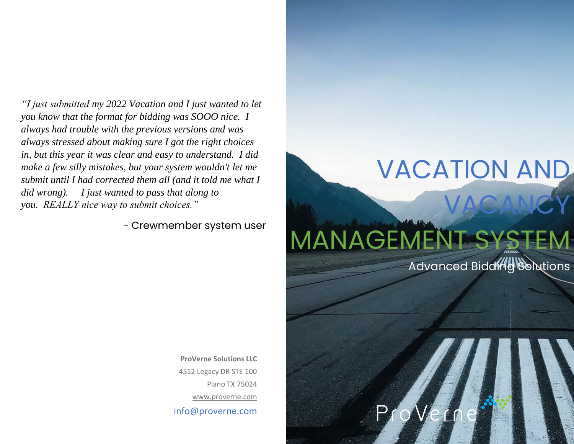*"I just submitted my 2022 Vacation and I just wanted to let you know that the format for bidding was SOOO nice. I always had trouble with the previous versions and was always stressed about making sure I got the right choices in, but this year it was clear and easy to understand. I did make a few silly mistakes, but your system wouldn't let me submit until I had corrected them all (and it told me what I did wrong). I just wanted to pass that along to you. REALLY nice way to submit choices."*

- Crewmember system user

**ProVerne Solutions LLC** 4512 Legacy DR STE 100 Plano TX 75024 [www.proverne.com](http://www.proverne.com/) info@proverne.com

# VACANCY MANAGEMENT S

Advanced Bidding Solutions

VACATION AND